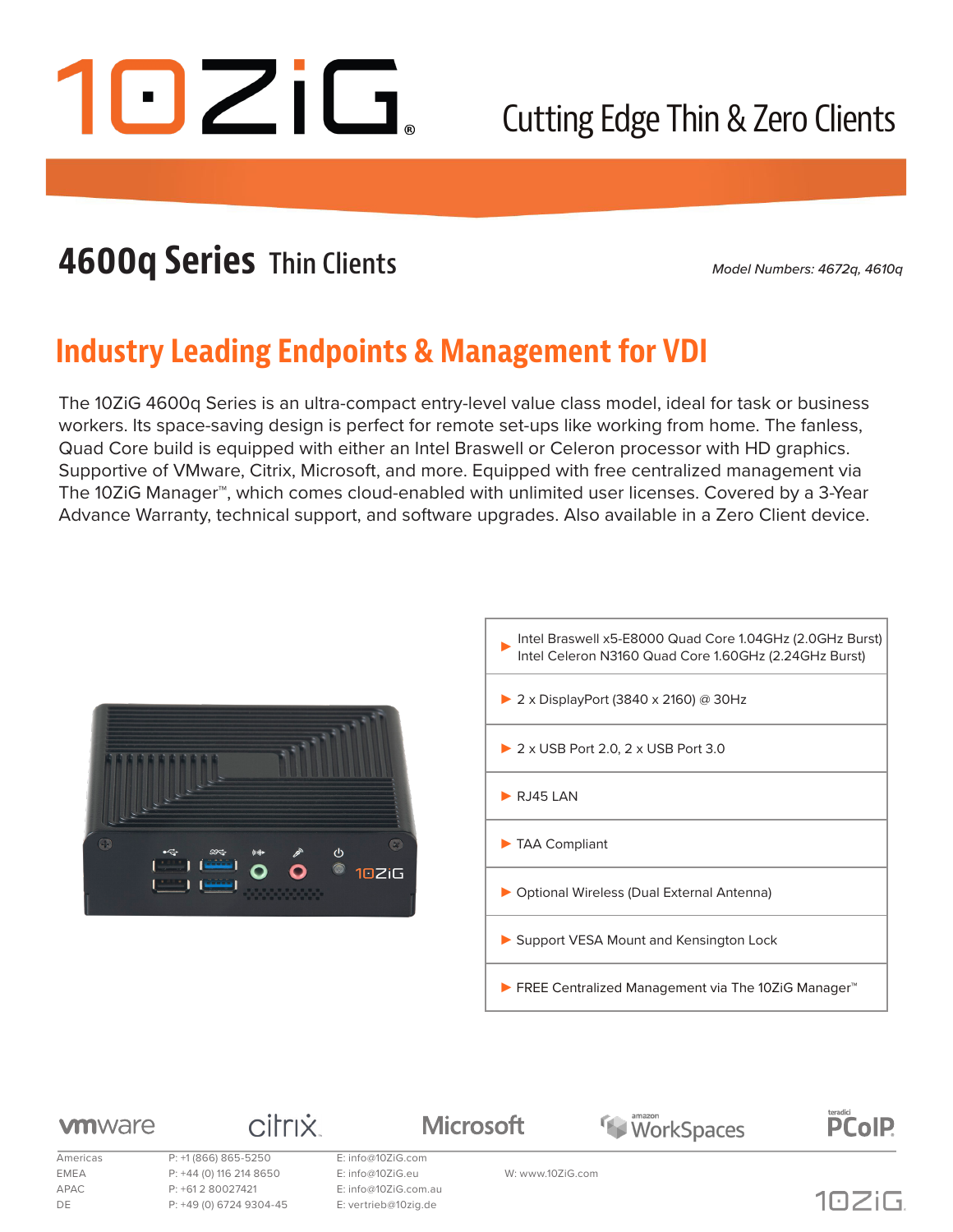

## Cutting Edge Thin & Zero Clients

## **4600q Series Thin Clients**

*Model Numbers: 4672q, 4610q*

### **Industry Leading Endpoints & Management for VDI**

The 10ZiG 4600q Series is an ultra-compact entry-level value class model, ideal for task or business workers. Its space-saving design is perfect for remote set-ups like working from home. The fanless, Quad Core build is equipped with either an Intel Braswell or Celeron processor with HD graphics. Supportive of VMware, Citrix, Microsoft, and more. Equipped with free centralized management via The 10ZiG Manager™, which comes cloud-enabled with unlimited user licenses. Covered by a 3-Year Advance Warranty, technical support, and software upgrades. Also available in a Zero Client device.





WorkSpaces

#### **vm**ware

Americas P: +1 (866) 865-5250 E: info@10ZiG.com EMEA P: +44 (0) 116 214 8650 E: info@10ZiG.eu W: www.10ZiG.com APAC P: +61 2 80027421 E: info@10ZiG.com.au DE P: +49 (0) 6724 9304-45 E: vertrieb@10zig.de

**citrix** 

**Microsoft** 



teradici<br>PCoIP.